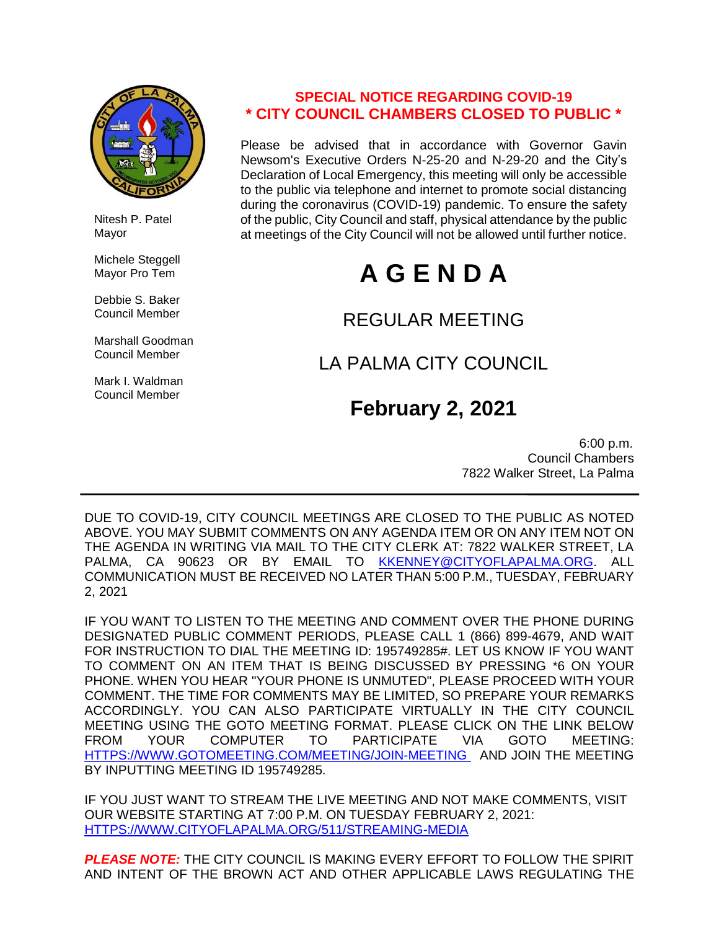

 Nitesh P. Patel Mayor

 Michele Steggell Mayor Pro Tem

 Debbie S. Baker Council Member

 Marshall Goodman Council Member

 Mark I. Waldman Council Member

### **SPECIAL NOTICE REGARDING COVID-19 \* CITY COUNCIL CHAMBERS CLOSED TO PUBLIC \***

Please be advised that in accordance with Governor Gavin Newsom's Executive Orders N-25-20 and N-29-20 and the City's Declaration of Local Emergency, this meeting will only be accessible to the public via telephone and internet to promote social distancing during the coronavirus (COVID-19) pandemic. To ensure the safety of the public, City Council and staff, physical attendance by the public at meetings of the City Council will not be allowed until further notice.

# **A G E N D A**

## REGULAR MEETING

# LA PALMA CITY COUNCIL

# **February 2, 2021**

 6:00 p.m. Council Chambers 7822 Walker Street, La Palma

DUE TO COVID-19, CITY COUNCIL MEETINGS ARE CLOSED TO THE PUBLIC AS NOTED ABOVE. YOU MAY SUBMIT COMMENTS ON ANY AGENDA ITEM OR ON ANY ITEM NOT ON THE AGENDA IN WRITING VIA MAIL TO THE CITY CLERK AT: 7822 WALKER STREET, LA PALMA, CA 90623 OR BY EMAIL TO [KKENNEY@CITYOFLAPALMA.ORG.](mailto:KKENNEY@CITYOFLAPALMA.ORG) ALL COMMUNICATION MUST BE RECEIVED NO LATER THAN 5:00 P.M., TUESDAY, FEBRUARY 2, 2021

IF YOU WANT TO LISTEN TO THE MEETING AND COMMENT OVER THE PHONE DURING DESIGNATED PUBLIC COMMENT PERIODS, PLEASE CALL 1 (866) 899-4679, AND WAIT FOR INSTRUCTION TO DIAL THE MEETING ID: 195749285#. LET US KNOW IF YOU WANT TO COMMENT ON AN ITEM THAT IS BEING DISCUSSED BY PRESSING \*6 ON YOUR PHONE. WHEN YOU HEAR "YOUR PHONE IS UNMUTED", PLEASE PROCEED WITH YOUR COMMENT. THE TIME FOR COMMENTS MAY BE LIMITED, SO PREPARE YOUR REMARKS ACCORDINGLY. YOU CAN ALSO PARTICIPATE VIRTUALLY IN THE CITY COUNCIL MEETING USING THE GOTO MEETING FORMAT. PLEASE CLICK ON THE LINK BELOW FROM YOUR COMPUTER TO PARTICIPATE VIA GOTO MEETING: [HTTPS://WWW.GOTOMEETING.COM/MEETING/JOIN-MEETING](https://www.gotomeeting.com/meeting/join-meeting) AND JOIN THE MEETING BY INPUTTING MEETING ID 195749285.

IF YOU JUST WANT TO STREAM THE LIVE MEETING AND NOT MAKE COMMENTS, VISIT OUR WEBSITE STARTING AT 7:00 P.M. ON TUESDAY FEBRUARY 2, 2021: [HTTPS://WWW.CITYOFLAPALMA.ORG/511/STREAMING-MEDIA](https://www.cityoflapalma.org/511/Streaming-Media)

*PLEASE NOTE:* THE CITY COUNCIL IS MAKING EVERY EFFORT TO FOLLOW THE SPIRIT AND INTENT OF THE BROWN ACT AND OTHER APPLICABLE LAWS REGULATING THE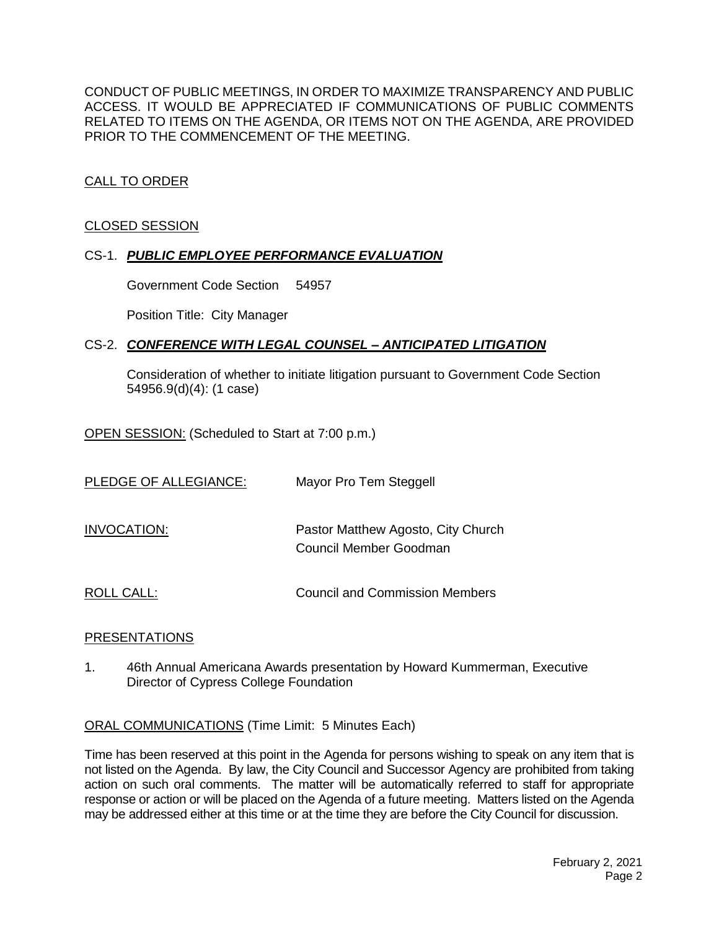CONDUCT OF PUBLIC MEETINGS, IN ORDER TO MAXIMIZE TRANSPARENCY AND PUBLIC ACCESS. IT WOULD BE APPRECIATED IF COMMUNICATIONS OF PUBLIC COMMENTS RELATED TO ITEMS ON THE AGENDA, OR ITEMS NOT ON THE AGENDA, ARE PROVIDED PRIOR TO THE COMMENCEMENT OF THE MEETING.

#### CALL TO ORDER

#### CLOSED SESSION

#### CS-1. *PUBLIC EMPLOYEE PERFORMANCE EVALUATION*

Government Code Section 54957

Position Title: City Manager

#### CS-2. *CONFERENCE WITH LEGAL COUNSEL – ANTICIPATED LITIGATION*

Consideration of whether to initiate litigation pursuant to Government Code Section 54956.9(d)(4): (1 case)

OPEN SESSION: (Scheduled to Start at 7:00 p.m.)

| PLEDGE OF ALLEGIANCE: | Mayor Pro Tem Steggell                                       |
|-----------------------|--------------------------------------------------------------|
| INVOCATION:           | Pastor Matthew Agosto, City Church<br>Council Member Goodman |
| ROLL CALL:            | Council and Commission Members                               |

#### PRESENTATIONS

1. 46th Annual Americana Awards presentation by Howard Kummerman, Executive Director of Cypress College Foundation

ORAL COMMUNICATIONS (Time Limit: 5 Minutes Each)

Time has been reserved at this point in the Agenda for persons wishing to speak on any item that is not listed on the Agenda. By law, the City Council and Successor Agency are prohibited from taking action on such oral comments. The matter will be automatically referred to staff for appropriate response or action or will be placed on the Agenda of a future meeting. Matters listed on the Agenda may be addressed either at this time or at the time they are before the City Council for discussion.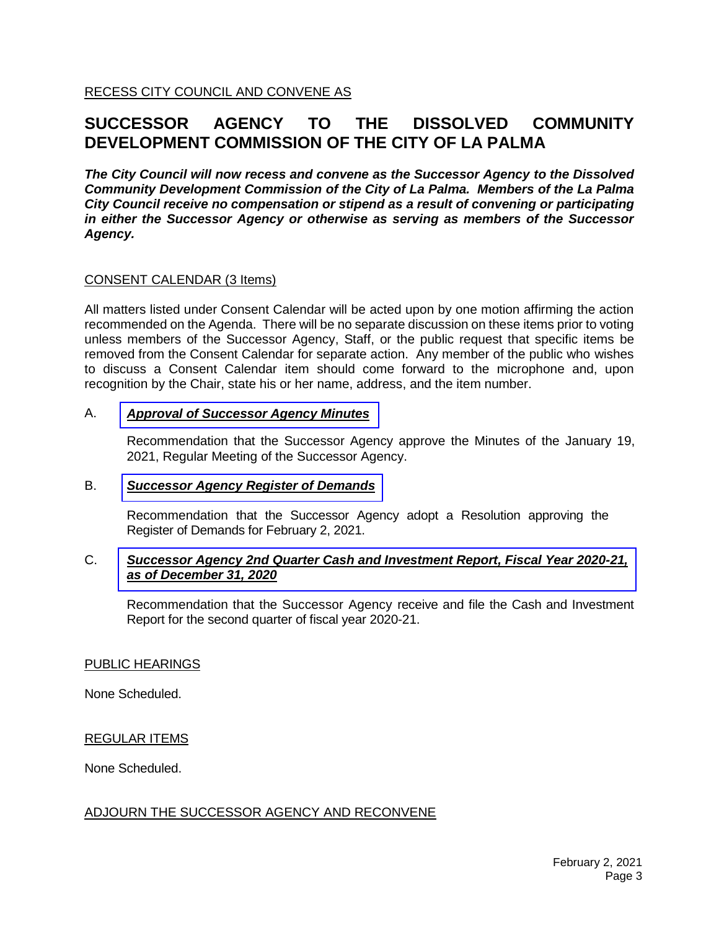RECESS CITY COUNCIL AND CONVENE AS

### **SUCCESSOR AGENCY TO THE DISSOLVED COMMUNITY DEVELOPMENT COMMISSION OF THE CITY OF LA PALMA**

*The City Council will now recess and convene as the Successor Agency to the Dissolved Community Development Commission of the City of La Palma. Members of the La Palma City Council receive no compensation or stipend as a result of convening or participating in either the Successor Agency or otherwise as serving as members of the Successor Agency.*

#### CONSENT CALENDAR (3 Items)

All matters listed under Consent Calendar will be acted upon by one motion affirming the action recommended on the Agenda. There will be no separate discussion on these items prior to voting unless members of the Successor Agency, Staff, or the public request that specific items be removed from the Consent Calendar for separate action. Any member of the public who wishes to discuss a Consent Calendar item should come forward to the microphone and, upon recognition by the Chair, state his or her name, address, and the item number.

#### A. *Approval of [Successor](https://www.cityoflapalma.org/DocumentCenter/View/10716/Item-A_Successor-Agency-Minutes) Agency Minutes*

Recommendation that the Successor Agency approve the Minutes of the January 19, 2021, Regular Meeting of the Successor Agency.

#### B. *[Successor Agency Register of Demands](https://www.cityoflapalma.org/DocumentCenter/View/10717/Item-B_SA-Warrants_WEB)*

Recommendation that the Successor Agency adopt a Resolution approving the Register of Demands for February 2, 2021.

#### C. *[Successor Agency 2nd Quarter Cash and Investment Report, Fiscal Year 2020-21,](https://www.cityoflapalma.org/DocumentCenter/View/10718/Item-C_SA-Cash-and-Investment-Reports-20201231)  as of December 31, 2020*

Recommendation that the Successor Agency receive and file the Cash and Investment Report for the second quarter of fiscal year 2020-21.

#### PUBLIC HEARINGS

None Scheduled.

#### REGULAR ITEMS

None Scheduled.

#### ADJOURN THE SUCCESSOR AGENCY AND RECONVENE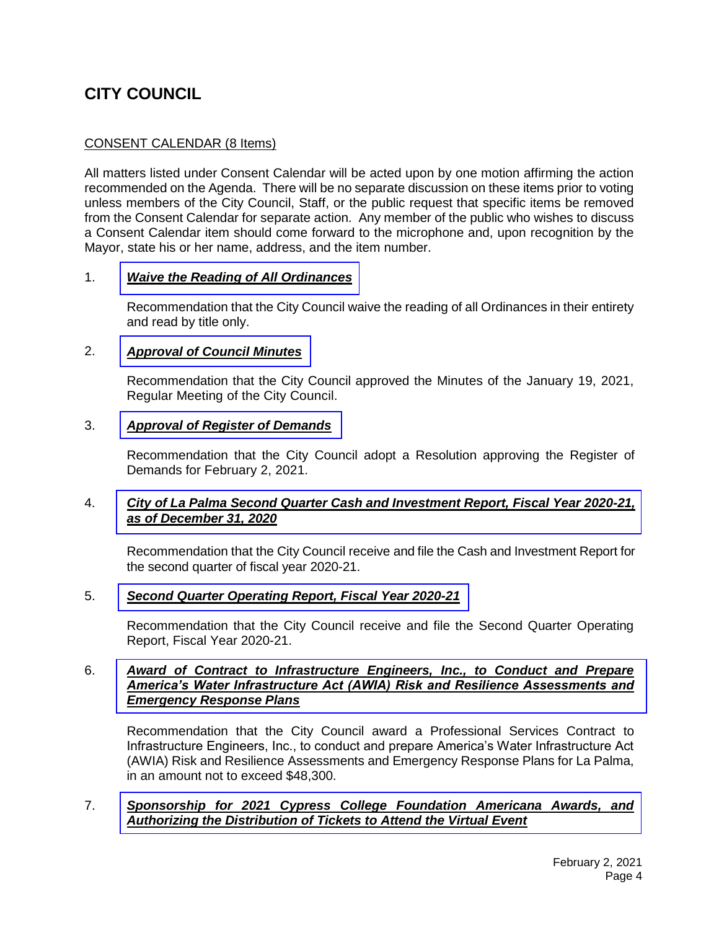### **CITY COUNCIL**

#### CONSENT CALENDAR (8 Items)

All matters listed under Consent Calendar will be acted upon by one motion affirming the action recommended on the Agenda. There will be no separate discussion on these items prior to voting unless members of the City Council, Staff, or the public request that specific items be removed from the Consent Calendar for separate action. Any member of the public who wishes to discuss a Consent Calendar item should come forward to the microphone and, upon recognition by the Mayor, state his or her name, address, and the item number.

#### 1. *[Waive the Reading of All Ordinances](https://www.cityoflapalma.org/DocumentCenter/View/10719/Item-1_Waive-Reading-of-Ordinances)*

Recommendation that the City Council waive the reading of all Ordinances in their entirety and read by title only.

#### 2. *[Approval of Council Minutes](https://www.cityoflapalma.org/DocumentCenter/View/10720/Item-2_CC-Minutes)*

Recommendation that the City Council approved the Minutes of the January 19, 2021, Regular Meeting of the City Council.

#### 3. *[Approval of Register of Demands](https://www.cityoflapalma.org/DocumentCenter/View/10721/Item-3_CC-Warrants_Public)*

Recommendation that the City Council adopt a Resolution approving the Register of Demands for February 2, 2021.

#### 4. *City of La Palma Second [Quarter Cash and Investment Report, Fiscal Year 2020-21,](https://www.cityoflapalma.org/DocumentCenter/View/10722/Item-4_City-Cash-and-Investment-Report-20201231)  as of December 31, 2020*

Recommendation that the City Council receive and file the Cash and Investment Report for the second quarter of fiscal year 2020-21.

#### 5. *Second [Quarter Operating Report, Fiscal Year 2020-21](https://www.cityoflapalma.org/DocumentCenter/View/10723/Item-5_Q2-FY-20-21-Financial-Report)*

Recommendation that the City Council receive and file the Second Quarter Operating Report, Fiscal Year 2020-21.

#### 6. *Award of Contract to Infrastructure Engineers, Inc., to Conduct and Prepare [America's Water Infrastructure Act \(AWIA\) Risk and Resilience Assessments and](https://www.cityoflapalma.org/DocumentCenter/View/10724/Item-6_AOC-for-AWIA-Plan-Development)  Emergency Response Plans*

Recommendation that the City Council award a Professional Services Contract to Infrastructure Engineers, Inc., to conduct and prepare America's Water Infrastructure Act (AWIA) Risk and Resilience Assessments and Emergency Response Plans for La Palma, in an amount not to exceed \$48,300.

#### 7. *[Sponsorship for 2021 Cypress College Foundation Americana Awards, and](https://www.cityoflapalma.org/DocumentCenter/View/10725/Item-7_2021-Americana-Ticket-Resolution)  Authorizing the Distribution of Tickets to Attend the Virtual Event*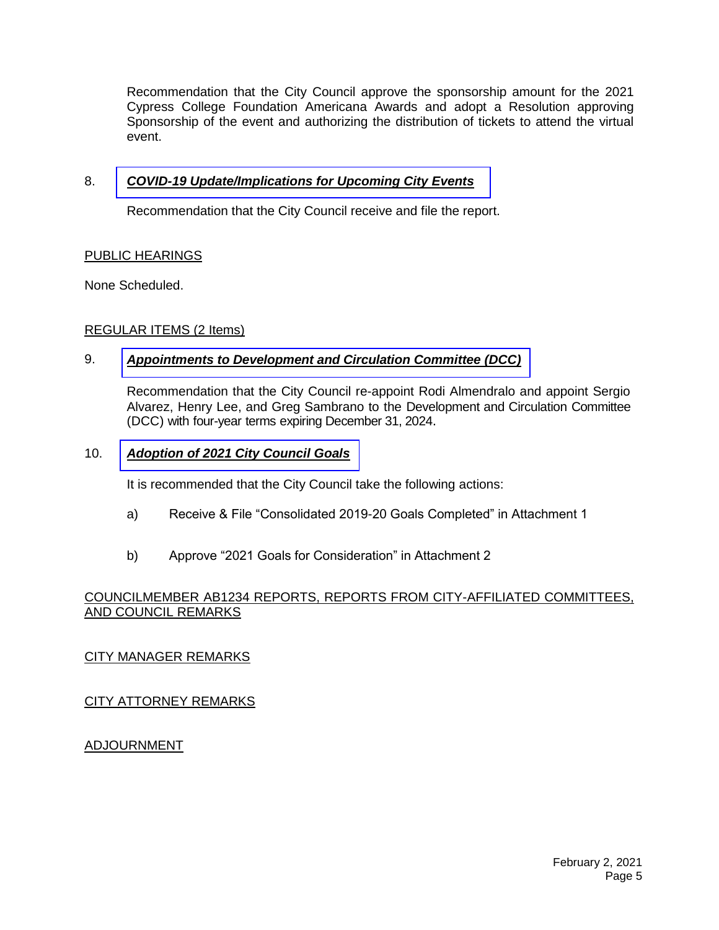Recommendation that the City Council approve the sponsorship amount for the 2021 Cypress College Foundation Americana Awards and adopt a Resolution approving Sponsorship of the event and authorizing the distribution of tickets to attend the virtual event.

#### 8. *[COVID-19 Update/Implications for Upcoming City Events](https://www.cityoflapalma.org/DocumentCenter/View/10713/Item-8_COVID-19-Update-2-2-21)*

Recommendation that the City Council receive and file the report.

#### PUBLIC HEARINGS

None Scheduled.

#### REGULAR ITEMS (2 Items)

#### 9. *Appointments to [Development and Circulation](https://www.cityoflapalma.org/DocumentCenter/View/10714/Item-9_DCC-Citizen-Committee-Appts) Committee (DCC)*

Recommendation that the City Council re-appoint Rodi Almendralo and appoint Sergio Alvarez, Henry Lee, and Greg Sambrano to the Development and Circulation Committee (DCC) with four-year terms expiring December 31, 2024.

#### 10. *[Adoption of 2021 City Council Goals](https://www.cityoflapalma.org/DocumentCenter/View/10715/Item-10_2021-City-Council-Goals)*

It is recommended that the City Council take the following actions:

- a) Receive & File "Consolidated 2019-20 Goals Completed" in Attachment 1
- b) Approve "2021 Goals for Consideration" in Attachment 2

#### COUNCILMEMBER AB1234 REPORTS, REPORTS FROM CITY-AFFILIATED COMMITTEES, AND COUNCIL REMARKS

#### CITY MANAGER REMARKS

CITY ATTORNEY REMARKS

#### ADJOURNMENT